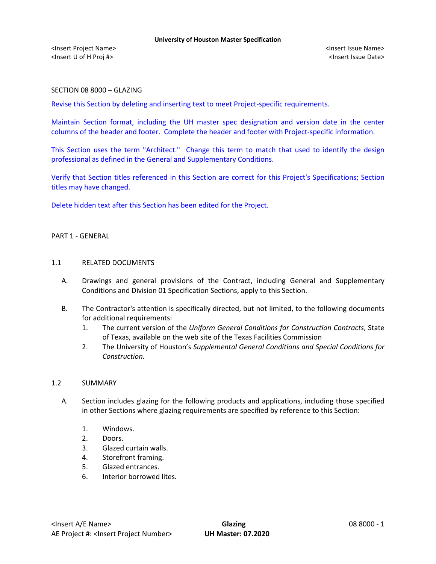## SECTION 08 8000 – GLAZING

Revise this Section by deleting and inserting text to meet Project-specific requirements.

Maintain Section format, including the UH master spec designation and version date in the center columns of the header and footer. Complete the header and footer with Project-specific information.

This Section uses the term "Architect." Change this term to match that used to identify the design professional as defined in the General and Supplementary Conditions.

Verify that Section titles referenced in this Section are correct for this Project's Specifications; Section titles may have changed.

Delete hidden text after this Section has been edited for the Project.

# PART 1 - GENERAL

#### 1.1 RELATED DOCUMENTS

- A. Drawings and general provisions of the Contract, including General and Supplementary Conditions and Division 01 Specification Sections, apply to this Section.
- B. The Contractor's attention is specifically directed, but not limited, to the following documents for additional requirements:
	- 1. The current version of the *Uniform General Conditions for Construction Contracts*, State of Texas, available on the web site of the Texas Facilities Commission
	- 2. The University of Houston's *Supplemental General Conditions and Special Conditions for Construction.*

### 1.2 SUMMARY

- A. Section includes glazing for the following products and applications, including those specified in other Sections where glazing requirements are specified by reference to this Section:
	- 1. Windows.
	- 2. Doors.
	- 3. Glazed curtain walls.
	- 4. Storefront framing.
	- 5. Glazed entrances.
	- 6. Interior borrowed lites.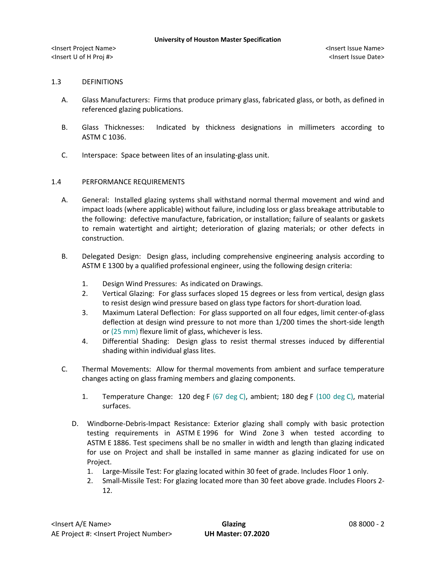## 1.3 DEFINITIONS

- A. Glass Manufacturers: Firms that produce primary glass, fabricated glass, or both, as defined in referenced glazing publications.
- B. Glass Thicknesses: Indicated by thickness designations in millimeters according to ASTM C 1036.
- C. Interspace: Space between lites of an insulating-glass unit.

## 1.4 PERFORMANCE REQUIREMENTS

- A. General: Installed glazing systems shall withstand normal thermal movement and wind and impact loads (where applicable) without failure, including loss or glass breakage attributable to the following: defective manufacture, fabrication, or installation; failure of sealants or gaskets to remain watertight and airtight; deterioration of glazing materials; or other defects in construction.
- B. Delegated Design: Design glass, including comprehensive engineering analysis according to ASTM E 1300 by a qualified professional engineer, using the following design criteria:
	- 1. Design Wind Pressures: As indicated on Drawings.
	- 2. Vertical Glazing: For glass surfaces sloped 15 degrees or less from vertical, design glass to resist design wind pressure based on glass type factors for short-duration load.
	- 3. Maximum Lateral Deflection: For glass supported on all four edges, limit center-of-glass deflection at design wind pressure to not more than 1/200 times the short-side length or (25 mm) flexure limit of glass, whichever is less.
	- 4. Differential Shading: Design glass to resist thermal stresses induced by differential shading within individual glass lites.
- C. Thermal Movements: Allow for thermal movements from ambient and surface temperature changes acting on glass framing members and glazing components.
	- 1. Temperature Change: 120 deg F (67 deg C), ambient; 180 deg F (100 deg C), material surfaces.
	- D. Windborne-Debris-Impact Resistance: Exterior glazing shall comply with basic protection testing requirements in ASTM E 1996 for Wind Zone 3 when tested according to ASTM E 1886. Test specimens shall be no smaller in width and length than glazing indicated for use on Project and shall be installed in same manner as glazing indicated for use on Project.
		- 1. Large-Missile Test: For glazing located within 30 feet of grade. Includes Floor 1 only.
		- 2. Small-Missile Test: For glazing located more than 30 feet above grade. Includes Floors 2- 12.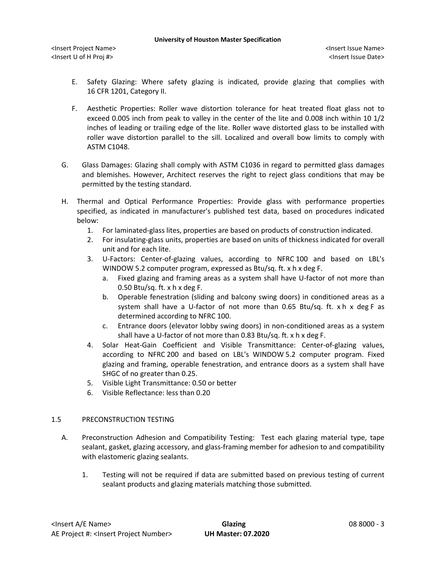- E. Safety Glazing: Where safety glazing is indicated, provide glazing that complies with 16 CFR 1201, Category II.
- F. Aesthetic Properties: Roller wave distortion tolerance for heat treated float glass not to exceed 0.005 inch from peak to valley in the center of the lite and 0.008 inch within 10 1/2 inches of leading or trailing edge of the lite. Roller wave distorted glass to be installed with roller wave distortion parallel to the sill. Localized and overall bow limits to comply with ASTM C1048.
- G. Glass Damages: Glazing shall comply with ASTM C1036 in regard to permitted glass damages and blemishes. However, Architect reserves the right to reject glass conditions that may be permitted by the testing standard.
- H. Thermal and Optical Performance Properties: Provide glass with performance properties specified, as indicated in manufacturer's published test data, based on procedures indicated below:
	- 1. For laminated-glass lites, properties are based on products of construction indicated.
	- 2. For insulating-glass units, properties are based on units of thickness indicated for overall unit and for each lite.
	- 3. U-Factors: Center-of-glazing values, according to NFRC 100 and based on LBL's WINDOW 5.2 computer program, expressed as Btu/sq. ft. x h x deg F.
		- a. Fixed glazing and framing areas as a system shall have U-factor of not more than 0.50 Btu/sq. ft.  $x$  h  $x$  deg F.
		- b. Operable fenestration (sliding and balcony swing doors) in conditioned areas as a system shall have a U-factor of not more than 0.65 Btu/sq. ft. x h x deg F as determined according to NFRC 100.
		- c. Entrance doors (elevator lobby swing doors) in non-conditioned areas as a system shall have a U-factor of not more than 0.83 Btu/sq. ft. x h x deg F.
	- 4. Solar Heat-Gain Coefficient and Visible Transmittance: Center-of-glazing values, according to NFRC 200 and based on LBL's WINDOW 5.2 computer program. Fixed glazing and framing, operable fenestration, and entrance doors as a system shall have SHGC of no greater than 0.25.
	- 5. Visible Light Transmittance: 0.50 or better
	- 6. Visible Reflectance: less than 0.20

# 1.5 PRECONSTRUCTION TESTING

- A. Preconstruction Adhesion and Compatibility Testing: Test each glazing material type, tape sealant, gasket, glazing accessory, and glass-framing member for adhesion to and compatibility with elastomeric glazing sealants.
	- 1. Testing will not be required if data are submitted based on previous testing of current sealant products and glazing materials matching those submitted.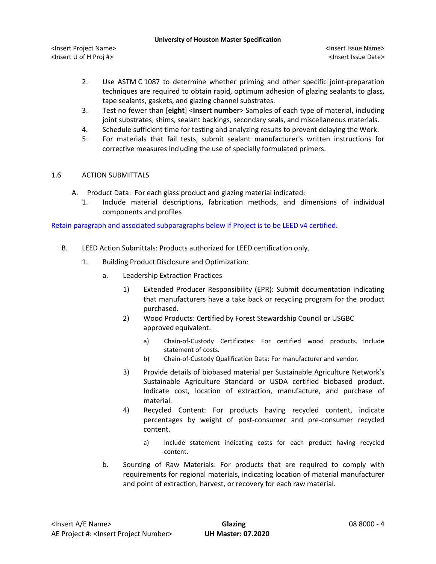<Insert Project Name> <Insert Issue Name> <Insert U of H Proj #> <Insert Issue Date>

- 2. Use ASTM C 1087 to determine whether priming and other specific joint-preparation techniques are required to obtain rapid, optimum adhesion of glazing sealants to glass, tape sealants, gaskets, and glazing channel substrates.
- 3. Test no fewer than [**eight**] <**Insert number**> Samples of each type of material, including joint substrates, shims, sealant backings, secondary seals, and miscellaneous materials.
- 4. Schedule sufficient time for testing and analyzing results to prevent delaying the Work.
- 5. For materials that fail tests, submit sealant manufacturer's written instructions for corrective measures including the use of specially formulated primers.

# 1.6 ACTION SUBMITTALS

- A. Product Data: For each glass product and glazing material indicated:
	- 1. Include material descriptions, fabrication methods, and dimensions of individual components and profiles

Retain paragraph and associated subparagraphs below if Project is to be LEED v4 certified.

- B. LEED Action Submittals: Products authorized for LEED certification only.
	- 1. Building Product Disclosure and Optimization:
		- a. Leadership Extraction Practices
			- 1) Extended Producer Responsibility (EPR): Submit documentation indicating that manufacturers have a take back or recycling program for the product purchased.
			- 2) Wood Products: Certified by Forest Stewardship Council or USGBC approved equivalent.
				- a) [Chain-of-Custody Certificates:](http://www.arcomnet.com/sustainable_design.aspx?topic=146) For certified wood products. Include statement of costs.
				- b) [Chain-of-Custody Qualification Data:](http://www.arcomnet.com/sustainable_design.aspx?topic=148) For manufacturer and vendor.
			- 3) Provide details of biobased material per Sustainable Agriculture Network's Sustainable Agriculture Standard or USDA certified biobased product. Indicate cost, location of extraction, manufacture, and purchase of material.
			- 4) Recycled Content: For products having recycled content, indicate percentages by weight of post-consumer and pre-consumer recycled content.
				- a) Include statement indicating costs for each product having recycled content.
		- b. Sourcing of Raw Materials: For products that are required to comply with requirements for regional materials, indicating location of material manufacturer and point of extraction, harvest, or recovery for each raw material.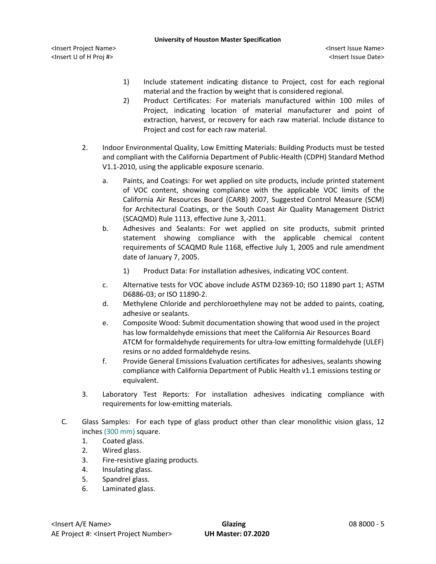- 1) Include statement indicating distance to Project, cost for each regional material and the fraction by weight that is considered regional.
- 2) Product Certificates: For materials manufactured within 100 miles of Project, indicating location of material manufacturer and point of extraction, harvest, or recovery for each raw material. Include distance to Project and cost for each raw material.
- 2. Indoor Environmental Quality, Low Emitting Materials: Building Products must be tested and compliant with the California Department of Public-Health (CDPH) Standard Method V1.1-2010, using the applicable exposure scenario.
	- a. Paints, and Coatings: For wet applied on site products, include printed statement of VOC content, showing compliance with the applicable VOC limits of the California Air Resources Board (CARB) 2007, Suggested Control Measure (SCM) for Architectural Coatings, or the South Coast Air Quality Management District (SCAQMD) Rule 1113, effective June 3,-2011.
	- b. Adhesives and Sealants: For wet applied on site products, submit printed statement showing compliance with the applicable chemical content requirements of SCAQMD Rule 1168, effective July 1, 2005 and rule amendment date of January 7, 2005.
		- 1) Product Data: For installation adhesives, indicating VOC content.
	- c. Alternative tests for VOC above include ASTM D2369-10; ISO 11890 part 1; ASTM D6886-03; or ISO 11890-2.
	- d. Methylene Chloride and perchloroethylene may not be added to paints, coating, adhesive or sealants.
	- e. Composite Wood: Submit documentation showing that wood used in the project has low formaldehyde emissions that meet the California Air Resources Board ATCM for formaldehyde requirements for ultra-low emitting formaldehyde (ULEF) resins or no added formaldehyde resins.
	- f. Provide General Emissions Evaluation certificates for adhesives, sealants showing compliance with California Department of Public Health v1.1 emissions testing or equivalent.
- 3. Laboratory Test Reports: For installation adhesives indicating compliance with requirements for low-emitting materials.
- C. Glass Samples: For each type of glass product other than clear monolithic vision glass, 12 inches (300 mm) square.
	- 1. Coated glass.
	- 2. Wired glass.
	- 3. Fire-resistive glazing products.
	- 4. Insulating glass.
	- 5. Spandrel glass.
	- 6. Laminated glass.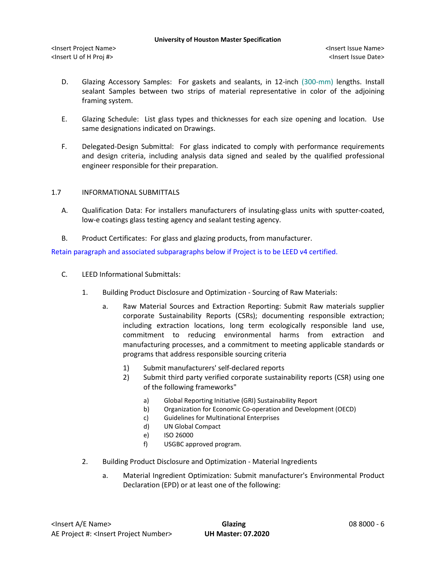- D. Glazing Accessory Samples: For gaskets and sealants, in 12-inch (300-mm) lengths. Install sealant Samples between two strips of material representative in color of the adjoining framing system.
- E. Glazing Schedule: List glass types and thicknesses for each size opening and location. Use same designations indicated on Drawings.
- F. Delegated-Design Submittal: For glass indicated to comply with performance requirements and design criteria, including analysis data signed and sealed by the qualified professional engineer responsible for their preparation.

## 1.7 INFORMATIONAL SUBMITTALS

- A. Qualification Data: For installers manufacturers of insulating-glass units with sputter-coated, low-e coatings glass testing agency and sealant testing agency.
- B. Product Certificates: For glass and glazing products, from manufacturer.

Retain paragraph and associated subparagraphs below if Project is to be LEED v4 certified.

- C. LEED Informational Submittals:
	- 1. Building Product Disclosure and Optimization Sourcing of Raw Materials:
		- a. Raw Material Sources and Extraction Reporting: Submit Raw materials supplier corporate Sustainability Reports (CSRs); documenting responsible extraction; including extraction locations, long term ecologically responsible land use, commitment to reducing environmental harms from extraction and manufacturing processes, and a commitment to meeting applicable standards or programs that address responsible sourcing criteria
			- 1) Submit manufacturers' self-declared reports
			- 2) Submit third party verified corporate sustainability reports (CSR) using one of the following frameworks"
				- a) Global Reporting Initiative (GRI) Sustainability Report
				- b) Organization for Economic Co-operation and Development (OECD)
				- c) Guidelines for Multinational Enterprises
				- d) UN Global Compact
				- e) ISO 26000
				- f) USGBC approved program.
	- 2. Building Product Disclosure and Optimization Material Ingredients
		- a. Material Ingredient Optimization: Submit manufacturer's Environmental Product Declaration (EPD) or at least one of the following: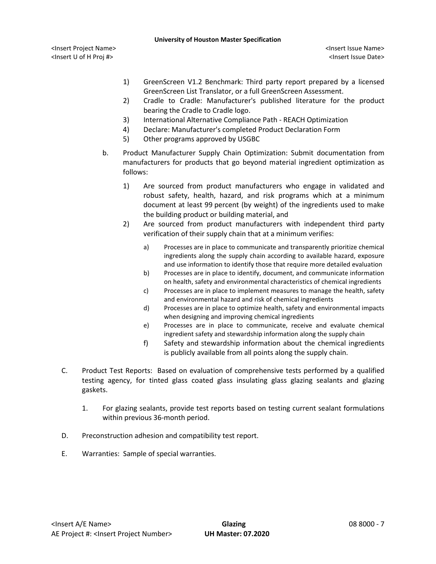<Insert Project Name> <Insert Issue Name> <Insert U of H Proj #> <Insert Issue Date>

- 1) GreenScreen V1.2 Benchmark: Third party report prepared by a licensed GreenScreen List Translator, or a full GreenScreen Assessment.
- 2) Cradle to Cradle: Manufacturer's published literature for the product bearing the Cradle to Cradle logo.
- 3) International Alternative Compliance Path REACH Optimization
- 4) Declare: Manufacturer's completed Product Declaration Form
- 5) Other programs approved by USGBC
- b. Product Manufacturer Supply Chain Optimization: Submit documentation from manufacturers for products that go beyond material ingredient optimization as follows:
	- 1) Are sourced from product manufacturers who engage in validated and robust safety, health, hazard, and risk programs which at a minimum document at least 99 percent (by weight) of the ingredients used to make the building product or building material, and
	- 2) Are sourced from product manufacturers with independent third party verification of their supply chain that at a minimum verifies:
		- a) Processes are in place to communicate and transparently prioritize chemical ingredients along the supply chain according to available hazard, exposure and use information to identify those that require more detailed evaluation
		- b) Processes are in place to identify, document, and communicate information on health, safety and environmental characteristics of chemical ingredients
		- c) Processes are in place to implement measures to manage the health, safety and environmental hazard and risk of chemical ingredients
		- d) Processes are in place to optimize health, safety and environmental impacts when designing and improving chemical ingredients
		- e) Processes are in place to communicate, receive and evaluate chemical ingredient safety and stewardship information along the supply chain
		- f) Safety and stewardship information about the chemical ingredients is publicly available from all points along the supply chain.
- C. Product Test Reports: Based on evaluation of comprehensive tests performed by a qualified testing agency, for tinted glass coated glass insulating glass glazing sealants and glazing gaskets.
	- 1. For glazing sealants, provide test reports based on testing current sealant formulations within previous 36-month period.
- D. Preconstruction adhesion and compatibility test report.
- E. Warranties: Sample of special warranties.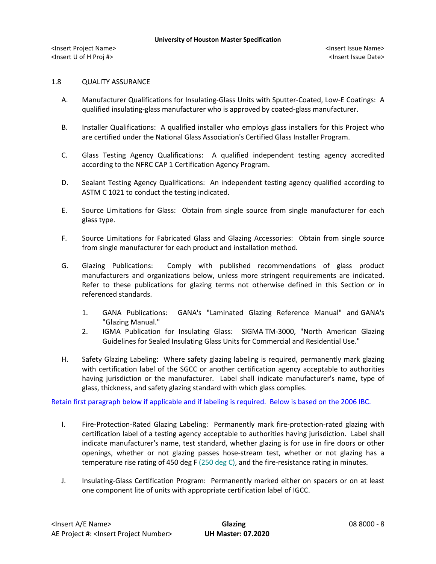# 1.8 QUALITY ASSURANCE

- A. Manufacturer Qualifications for Insulating-Glass Units with Sputter-Coated, Low-E Coatings: A qualified insulating-glass manufacturer who is approved by coated-glass manufacturer.
- B. Installer Qualifications: A qualified installer who employs glass installers for this Project who are certified under the National Glass Association's Certified Glass Installer Program.
- C. Glass Testing Agency Qualifications: A qualified independent testing agency accredited according to the NFRC CAP 1 Certification Agency Program.
- D. Sealant Testing Agency Qualifications: An independent testing agency qualified according to ASTM C 1021 to conduct the testing indicated.
- E. Source Limitations for Glass: Obtain from single source from single manufacturer for each glass type.
- F. Source Limitations for Fabricated Glass and Glazing Accessories: Obtain from single source from single manufacturer for each product and installation method.
- G. Glazing Publications: Comply with published recommendations of glass product manufacturers and organizations below, unless more stringent requirements are indicated. Refer to these publications for glazing terms not otherwise defined in this Section or in referenced standards.
	- 1. GANA Publications: GANA's "Laminated Glazing Reference Manual" and GANA's "Glazing Manual."
	- 2. IGMA Publication for Insulating Glass: SIGMA TM-3000, "North American Glazing Guidelines for Sealed Insulating Glass Units for Commercial and Residential Use."
- H. Safety Glazing Labeling: Where safety glazing labeling is required, permanently mark glazing with certification label of the SGCC or another certification agency acceptable to authorities having jurisdiction or the manufacturer. Label shall indicate manufacturer's name, type of glass, thickness, and safety glazing standard with which glass complies.

Retain first paragraph below if applicable and if labeling is required. Below is based on the 2006 IBC.

- I. Fire-Protection-Rated Glazing Labeling: Permanently mark fire-protection-rated glazing with certification label of a testing agency acceptable to authorities having jurisdiction. Label shall indicate manufacturer's name, test standard, whether glazing is for use in fire doors or other openings, whether or not glazing passes hose-stream test, whether or not glazing has a temperature rise rating of 450 deg F (250 deg C), and the fire-resistance rating in minutes.
- J. Insulating-Glass Certification Program: Permanently marked either on spacers or on at least one component lite of units with appropriate certification label of IGCC.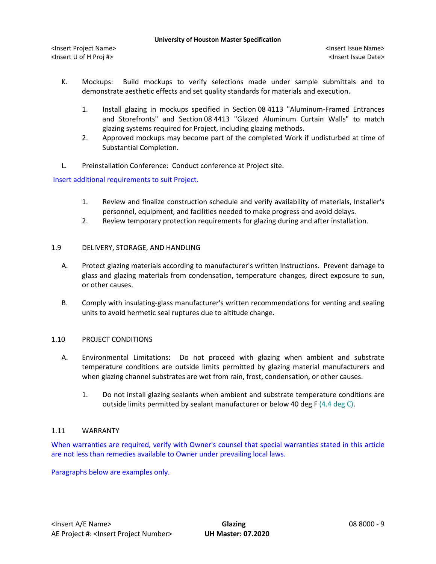- K. Mockups: Build mockups to verify selections made under sample submittals and to demonstrate aesthetic effects and set quality standards for materials and execution.
	- 1. Install glazing in mockups specified in Section 08 4113 "Aluminum-Framed Entrances and Storefronts" and Section 08 4413 "Glazed Aluminum Curtain Walls" to match glazing systems required for Project, including glazing methods.
	- 2. Approved mockups may become part of the completed Work if undisturbed at time of Substantial Completion.
- L. Preinstallation Conference: Conduct conference at Project site.

Insert additional requirements to suit Project.

- 1. Review and finalize construction schedule and verify availability of materials, Installer's personnel, equipment, and facilities needed to make progress and avoid delays.
- 2. Review temporary protection requirements for glazing during and after installation.

# 1.9 DELIVERY, STORAGE, AND HANDLING

- A. Protect glazing materials according to manufacturer's written instructions. Prevent damage to glass and glazing materials from condensation, temperature changes, direct exposure to sun, or other causes.
- B. Comply with insulating-glass manufacturer's written recommendations for venting and sealing units to avoid hermetic seal ruptures due to altitude change.

### 1.10 PROJECT CONDITIONS

- A. Environmental Limitations: Do not proceed with glazing when ambient and substrate temperature conditions are outside limits permitted by glazing material manufacturers and when glazing channel substrates are wet from rain, frost, condensation, or other causes.
	- 1. Do not install glazing sealants when ambient and substrate temperature conditions are outside limits permitted by sealant manufacturer or below 40 deg F  $(4.4 \deg C)$ .

# 1.11 WARRANTY

When warranties are required, verify with Owner's counsel that special warranties stated in this article are not less than remedies available to Owner under prevailing local laws.

Paragraphs below are examples only.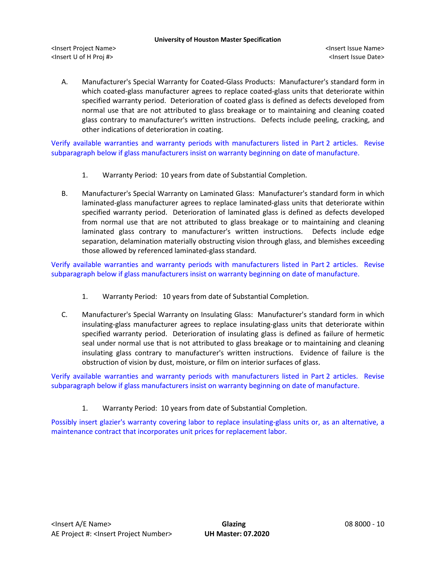<Insert Project Name> <Insert Issue Name> <Insert U of H Proj #> <Insert Issue Date>

A. Manufacturer's Special Warranty for Coated-Glass Products: Manufacturer's standard form in which coated-glass manufacturer agrees to replace coated-glass units that deteriorate within specified warranty period. Deterioration of coated glass is defined as defects developed from normal use that are not attributed to glass breakage or to maintaining and cleaning coated glass contrary to manufacturer's written instructions. Defects include peeling, cracking, and other indications of deterioration in coating.

Verify available warranties and warranty periods with manufacturers listed in Part 2 articles. Revise subparagraph below if glass manufacturers insist on warranty beginning on date of manufacture.

- 1. Warranty Period: 10 years from date of Substantial Completion.
- B. Manufacturer's Special Warranty on Laminated Glass: Manufacturer's standard form in which laminated-glass manufacturer agrees to replace laminated-glass units that deteriorate within specified warranty period. Deterioration of laminated glass is defined as defects developed from normal use that are not attributed to glass breakage or to maintaining and cleaning laminated glass contrary to manufacturer's written instructions. Defects include edge separation, delamination materially obstructing vision through glass, and blemishes exceeding those allowed by referenced laminated-glass standard.

Verify available warranties and warranty periods with manufacturers listed in Part 2 articles. Revise subparagraph below if glass manufacturers insist on warranty beginning on date of manufacture.

- 1. Warranty Period: 10 years from date of Substantial Completion.
- C. Manufacturer's Special Warranty on Insulating Glass: Manufacturer's standard form in which insulating-glass manufacturer agrees to replace insulating-glass units that deteriorate within specified warranty period. Deterioration of insulating glass is defined as failure of hermetic seal under normal use that is not attributed to glass breakage or to maintaining and cleaning insulating glass contrary to manufacturer's written instructions. Evidence of failure is the obstruction of vision by dust, moisture, or film on interior surfaces of glass.

Verify available warranties and warranty periods with manufacturers listed in Part 2 articles. Revise subparagraph below if glass manufacturers insist on warranty beginning on date of manufacture.

1. Warranty Period: 10 years from date of Substantial Completion.

Possibly insert glazier's warranty covering labor to replace insulating-glass units or, as an alternative, a maintenance contract that incorporates unit prices for replacement labor.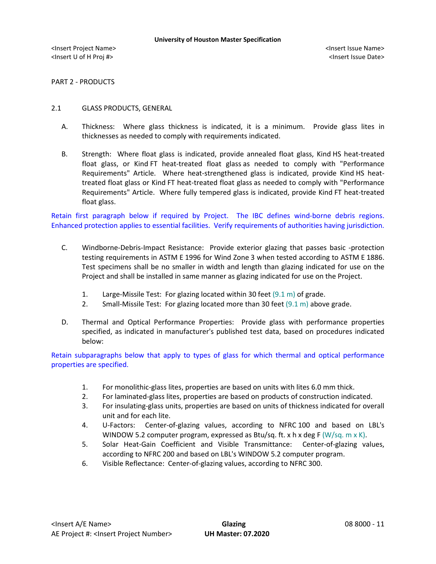PART 2 - PRODUCTS

#### 2.1 GLASS PRODUCTS, GENERAL

- A. Thickness: Where glass thickness is indicated, it is a minimum. Provide glass lites in thicknesses as needed to comply with requirements indicated.
- B. Strength: Where float glass is indicated, provide annealed float glass, Kind HS heat-treated float glass, or Kind FT heat-treated float glass as needed to comply with "Performance Requirements" Article. Where heat-strengthened glass is indicated, provide Kind HS heattreated float glass or Kind FT heat-treated float glass as needed to comply with "Performance Requirements" Article. Where fully tempered glass is indicated, provide Kind FT heat-treated float glass.

Retain first paragraph below if required by Project. The IBC defines wind-borne debris regions. Enhanced protection applies to essential facilities. Verify requirements of authorities having jurisdiction.

- C. Windborne-Debris-Impact Resistance: Provide exterior glazing that passes basic -protection testing requirements in ASTM E 1996 for Wind Zone 3 when tested according to ASTM E 1886. Test specimens shall be no smaller in width and length than glazing indicated for use on the Project and shall be installed in same manner as glazing indicated for use on the Project.
	- 1. Large-Missile Test: For glazing located within 30 feet (9.1 m) of grade.
	- 2. Small-Missile Test: For glazing located more than 30 feet (9.1 m) above grade.
- D. Thermal and Optical Performance Properties: Provide glass with performance properties specified, as indicated in manufacturer's published test data, based on procedures indicated below:

Retain subparagraphs below that apply to types of glass for which thermal and optical performance properties are specified.

- 1. For monolithic-glass lites, properties are based on units with lites 6.0 mm thick.
- 2. For laminated-glass lites, properties are based on products of construction indicated.
- 3. For insulating-glass units, properties are based on units of thickness indicated for overall unit and for each lite.
- 4. U-Factors: Center-of-glazing values, according to NFRC 100 and based on LBL's WINDOW 5.2 computer program, expressed as Btu/sq. ft. x h x deg F (W/sq. m x K).
- 5. Solar Heat-Gain Coefficient and Visible Transmittance: Center-of-glazing values, according to NFRC 200 and based on LBL's WINDOW 5.2 computer program.
- 6. Visible Reflectance: Center-of-glazing values, according to NFRC 300.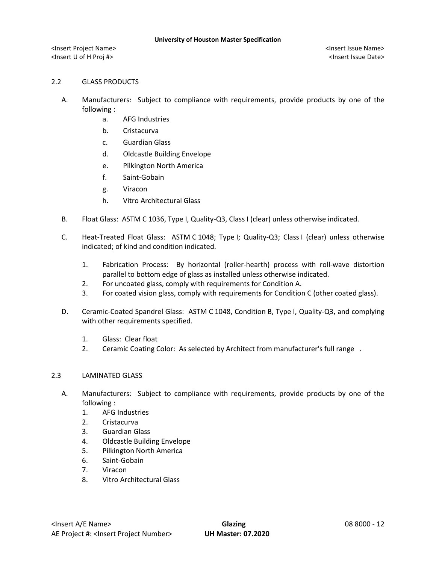# 2.2 GLASS PRODUCTS

- A. Manufacturers: Subject to compliance with requirements, provide products by one of the following :
	- a. AFG Industries
	- b. Cristacurva
	- c. Guardian Glass
	- d. Oldcastle Building Envelope
	- e. Pilkington North America
	- f. Saint-Gobain
	- g. Viracon
	- h. Vitro Architectural Glass
- B. Float Glass: ASTM C 1036, Type I, Quality-Q3, Class I (clear) unless otherwise indicated.
- C. Heat-Treated Float Glass: ASTM C 1048; Type I; Quality-Q3; Class I (clear) unless otherwise indicated; of kind and condition indicated.
	- 1. Fabrication Process: By horizontal (roller-hearth) process with roll-wave distortion parallel to bottom edge of glass as installed unless otherwise indicated.
	- 2. For uncoated glass, comply with requirements for Condition A.
	- 3. For coated vision glass, comply with requirements for Condition C (other coated glass).
- D. Ceramic-Coated Spandrel Glass: ASTM C 1048, Condition B, Type I, Quality-Q3, and complying with other requirements specified.
	- 1. Glass: Clear float
	- 2. Ceramic Coating Color: As selected by Architect from manufacturer's full range .

# 2.3 LAMINATED GLASS

- A. Manufacturers: Subject to compliance with requirements, provide products by one of the following :
	- 1. AFG Industries
	- 2. Cristacurva
	- 3. Guardian Glass
	- 4. Oldcastle Building Envelope
	- 5. Pilkington North America
	- 6. Saint-Gobain
	- 7. Viracon
	- 8. Vitro Architectural Glass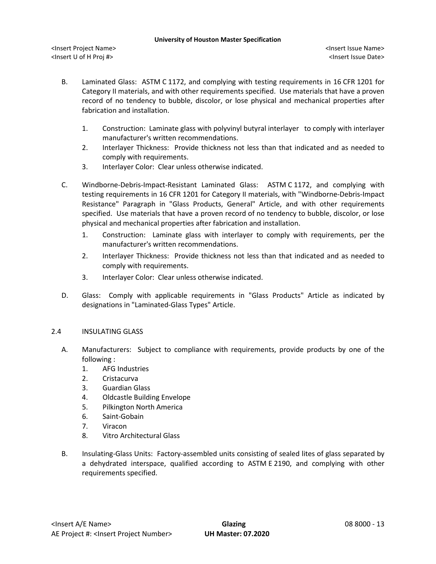- B. Laminated Glass: ASTM C 1172, and complying with testing requirements in 16 CFR 1201 for Category II materials, and with other requirements specified. Use materials that have a proven record of no tendency to bubble, discolor, or lose physical and mechanical properties after fabrication and installation.
	- 1. Construction: Laminate glass with polyvinyl butyral interlayer to comply with interlayer manufacturer's written recommendations.
	- 2. Interlayer Thickness: Provide thickness not less than that indicated and as needed to comply with requirements.
	- 3. Interlayer Color: Clear unless otherwise indicated.
- C. Windborne-Debris-Impact-Resistant Laminated Glass: ASTM C 1172, and complying with testing requirements in 16 CFR 1201 for Category II materials, with "Windborne-Debris-Impact Resistance" Paragraph in "Glass Products, General" Article, and with other requirements specified. Use materials that have a proven record of no tendency to bubble, discolor, or lose physical and mechanical properties after fabrication and installation.
	- 1. Construction: Laminate glass with interlayer to comply with requirements, per the manufacturer's written recommendations.
	- 2. Interlayer Thickness: Provide thickness not less than that indicated and as needed to comply with requirements.
	- 3. Interlayer Color: Clear unless otherwise indicated.
- D. Glass: Comply with applicable requirements in "Glass Products" Article as indicated by designations in "Laminated-Glass Types" Article.

# 2.4 INSULATING GLASS

- A. Manufacturers: Subject to compliance with requirements, provide products by one of the following :
	- 1. AFG Industries
	- 2. Cristacurva
	- 3. Guardian Glass
	- 4. Oldcastle Building Envelope
	- 5. Pilkington North America
	- 6. Saint-Gobain
	- 7. Viracon
	- 8. Vitro Architectural Glass
- B. Insulating-Glass Units: Factory-assembled units consisting of sealed lites of glass separated by a dehydrated interspace, qualified according to ASTM E 2190, and complying with other requirements specified.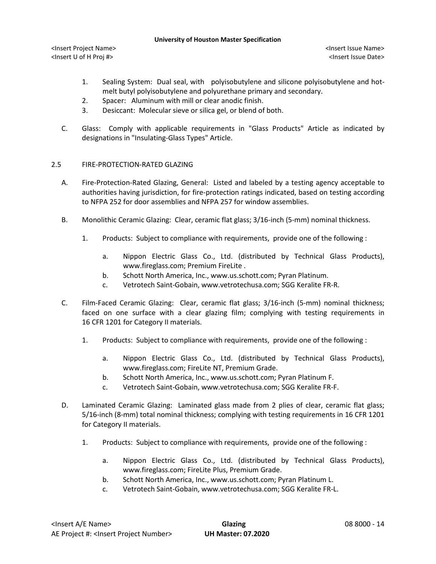<Insert Project Name> <Insert Issue Name> <Insert U of H Proj #> <Insert Issue Date>

- 1. Sealing System: Dual seal, with polyisobutylene and silicone polyisobutylene and hotmelt butyl polyisobutylene and polyurethane primary and secondary.
- 2. Spacer: Aluminum with mill or clear anodic finish.
- 3. Desiccant: Molecular sieve or silica gel, or blend of both.
- C. Glass: Comply with applicable requirements in "Glass Products" Article as indicated by designations in "Insulating-Glass Types" Article.

## 2.5 FIRE-PROTECTION-RATED GLAZING

- A. Fire-Protection-Rated Glazing, General: Listed and labeled by a testing agency acceptable to authorities having jurisdiction, for fire-protection ratings indicated, based on testing according to NFPA 252 for door assemblies and NFPA 257 for window assemblies.
- B. Monolithic Ceramic Glazing: Clear, ceramic flat glass; 3/16-inch (5-mm) nominal thickness.
	- 1. [Products:](http://www.specagent.com/LookUp/?ulid=167&mf=04&src=wd) Subject to compliance with requirements, provide one of the following :
		- a. Nippon Electric Glass Co., Ltd. (distributed by Technical Glass Products), www.fireglass.com; Premium FireLite .
		- b. Schott North America, Inc., www.us.schott.com; Pyran Platinum.
		- c. Vetrotech Saint-Gobain, www.vetrotechusa.com; SGG Keralite FR-R.
- C. Film-Faced Ceramic Glazing: Clear, ceramic flat glass; 3/16-inch (5-mm) nominal thickness; faced on one surface with a clear glazing film; complying with testing requirements in 16 CFR 1201 for Category II materials.
	- 1. [Products:](http://www.specagent.com/LookUp/?ulid=168&mf=04&src=wd) Subject to compliance with requirements, provide one of the following :
		- a. [Nippon Electric Glass Co., Ltd. \(distributed by Technical Glass Products\),](http://www.specagent.com/LookUp/?uid=123456814410&mf=04&src=wd)  [www.fireglass.com; FireLite](http://www.specagent.com/LookUp/?uid=123456814410&mf=04&src=wd) NT, Premium Grade.
		- b. [Schott North America, Inc.,](http://www.specagent.com/LookUp/?uid=123456814412&mf=04&src=wd) www.us.schott.com; Pyran Platinum F.
		- c. [Vetrotech Saint-Gobain, www.vetrotechusa.com; SGG Keralite](http://www.specagent.com/LookUp/?uid=123456814413&mf=04&src=wd) FR-F.
- D. Laminated Ceramic Glazing: Laminated glass made from 2 plies of clear, ceramic flat glass; 5/16-inch (8-mm) total nominal thickness; complying with testing requirements in 16 CFR 1201 for Category II materials.
	- 1. [Products:](http://www.specagent.com/LookUp/?ulid=169&mf=04&src=wd) Subject to compliance with requirements, provide one of the following :
		- a. [Nippon Electric Glass Co., Ltd. \(distributed by Technical Glass Products\),](http://www.specagent.com/LookUp/?uid=123456814414&mf=04&src=wd)  [www.fireglass.com; FireLite](http://www.specagent.com/LookUp/?uid=123456814414&mf=04&src=wd) Plus, Premium Grade.
		- b. [Schott North America, Inc., www.us.schott.com; Pyran Platinum L.](http://www.specagent.com/LookUp/?uid=123456814415&mf=04&src=wd)
		- c. [Vetrotech Saint-Gobain, www.vetrotechusa.com; SGG Keralite](http://www.specagent.com/LookUp/?uid=123456814416&mf=04&src=wd) FR-L.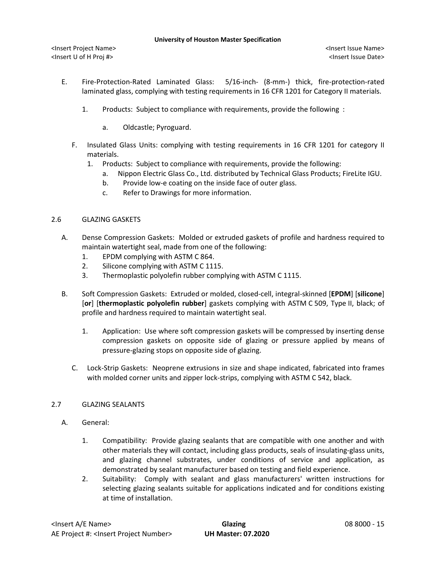- E. Fire-Protection-Rated Laminated Glass: 5/16-inch- (8-mm-) thick, fire-protection-rated laminated glass, complying with testing requirements in 16 CFR 1201 for Category II materials.
	- 1. [Products:](http://www.specagent.com/LookUp/?ulid=171&mf=04&src=wd) Subject to compliance with requirements, provide the following :
		- a. Oldcastle; Pyroguard.
	- F. Insulated Glass Units: complying with testing requirements in 16 CFR 1201 for category II materials.
		- 1. [Products:](http://www.specagent.com/LookUp/?ulid=167&mf=04&src=wd) Subject to compliance with requirements, provide the following:
			- a. Nippon Electric Glass Co., Ltd. distributed by Technical Glass Products; FireLite IGU.
			- b. Provide low-e coating on the inside face of outer glass.
			- c. Refer to Drawings for more information.

## 2.6 GLAZING GASKETS

- A. Dense Compression Gaskets: Molded or extruded gaskets of profile and hardness required to maintain watertight seal, made from one of the following:
	- 1. EPDM complying with ASTM C 864.
	- 2. Silicone complying with ASTM C 1115.
	- 3. Thermoplastic polyolefin rubber complying with ASTM C 1115.
- B. Soft Compression Gaskets: Extruded or molded, closed-cell, integral-skinned [**EPDM**] [**silicone**] [**or**] [**thermoplastic polyolefin rubber**] gaskets complying with ASTM C 509, Type II, black; of profile and hardness required to maintain watertight seal.
	- 1. Application: Use where soft compression gaskets will be compressed by inserting dense compression gaskets on opposite side of glazing or pressure applied by means of pressure-glazing stops on opposite side of glazing.
	- C. Lock-Strip Gaskets: Neoprene extrusions in size and shape indicated, fabricated into frames with molded corner units and zipper lock-strips, complying with ASTM C 542, black.

# 2.7 GLAZING SEALANTS

- A. General:
	- 1. Compatibility: Provide glazing sealants that are compatible with one another and with other materials they will contact, including glass products, seals of insulating-glass units, and glazing channel substrates, under conditions of service and application, as demonstrated by sealant manufacturer based on testing and field experience.
	- 2. Suitability: Comply with sealant and glass manufacturers' written instructions for selecting glazing sealants suitable for applications indicated and for conditions existing at time of installation.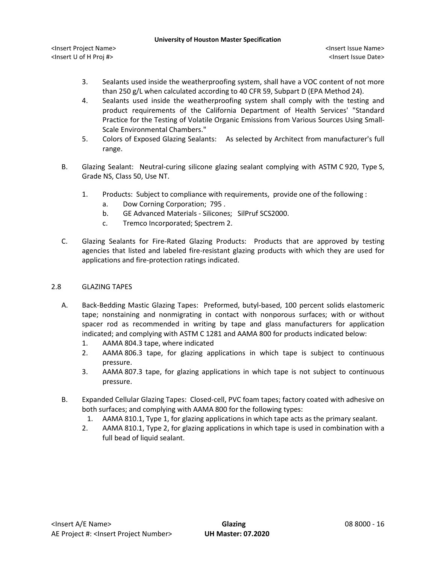<Insert Project Name> <Insert Issue Name> <Insert U of H Proj #> <Insert Issue Date>

- 3. Sealants used inside the weatherproofing system, shall have a VOC content of not more than 250 g/L when calculated according to 40 CFR 59, Subpart D (EPA Method 24).
- 4. Sealants used inside the weatherproofing system shall comply with the testing and product requirements of the California Department of Health Services' "Standard Practice for the Testing of Volatile Organic Emissions from Various Sources Using Small-Scale Environmental Chambers."
- 5. Colors of Exposed Glazing Sealants: As selected by Architect from manufacturer's full range.
- B. Glazing Sealant: Neutral-curing silicone glazing sealant complying with ASTM C 920, Type S, Grade NS, Class 50, Use NT.
	- 1. [Products:](http://www.specagent.com/LookUp/?ulid=175&mf=04&src=wd) Subject to compliance with requirements, provide one of the following :
		- a. [Dow Corning Corporation;](http://www.specagent.com/LookUp/?uid=123456814432&mf=04&src=wd) 795 .
		- b. [GE Advanced Materials -](http://www.specagent.com/LookUp/?uid=123456814433&mf=04&src=wd) Silicones; SilPruf SCS2000.
		- c. [Tremco Incorporated;](http://www.specagent.com/LookUp/?uid=123456814438&mf=04&src=wd) Spectrem 2.
- C. Glazing Sealants for Fire-Rated Glazing Products: Products that are approved by testing agencies that listed and labeled fire-resistant glazing products with which they are used for applications and fire-protection ratings indicated.

### 2.8 GLAZING TAPES

- A. Back-Bedding Mastic Glazing Tapes: Preformed, butyl-based, 100 percent solids elastomeric tape; nonstaining and nonmigrating in contact with nonporous surfaces; with or without spacer rod as recommended in writing by tape and glass manufacturers for application indicated; and complying with ASTM C 1281 and AAMA 800 for products indicated below:
	- 1. AAMA 804.3 tape, where indicated
	- 2. AAMA 806.3 tape, for glazing applications in which tape is subject to continuous pressure.
	- 3. AAMA 807.3 tape, for glazing applications in which tape is not subject to continuous pressure.
- B. Expanded Cellular Glazing Tapes: Closed-cell, PVC foam tapes; factory coated with adhesive on both surfaces; and complying with AAMA 800 for the following types:
	- 1. AAMA 810.1, Type 1, for glazing applications in which tape acts as the primary sealant.
	- 2. AAMA 810.1, Type 2, for glazing applications in which tape is used in combination with a full bead of liquid sealant.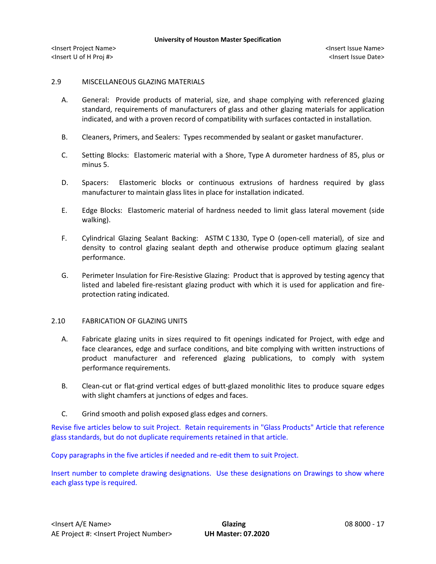## 2.9 MISCELLANEOUS GLAZING MATERIALS

- A. General: Provide products of material, size, and shape complying with referenced glazing standard, requirements of manufacturers of glass and other glazing materials for application indicated, and with a proven record of compatibility with surfaces contacted in installation.
- B. Cleaners, Primers, and Sealers: Types recommended by sealant or gasket manufacturer.
- C. Setting Blocks: Elastomeric material with a Shore, Type A durometer hardness of 85, plus or minus 5.
- D. Spacers: Elastomeric blocks or continuous extrusions of hardness required by glass manufacturer to maintain glass lites in place for installation indicated.
- E. Edge Blocks: Elastomeric material of hardness needed to limit glass lateral movement (side walking).
- F. Cylindrical Glazing Sealant Backing: ASTM C 1330, Type O (open-cell material), of size and density to control glazing sealant depth and otherwise produce optimum glazing sealant performance.
- G. Perimeter Insulation for Fire-Resistive Glazing: Product that is approved by testing agency that listed and labeled fire-resistant glazing product with which it is used for application and fireprotection rating indicated.

### 2.10 FABRICATION OF GLAZING UNITS

- A. Fabricate glazing units in sizes required to fit openings indicated for Project, with edge and face clearances, edge and surface conditions, and bite complying with written instructions of product manufacturer and referenced glazing publications, to comply with system performance requirements.
- B. Clean-cut or flat-grind vertical edges of butt-glazed monolithic lites to produce square edges with slight chamfers at junctions of edges and faces.
- C. Grind smooth and polish exposed glass edges and corners.

Revise five articles below to suit Project. Retain requirements in "Glass Products" Article that reference glass standards, but do not duplicate requirements retained in that article.

Copy paragraphs in the five articles if needed and re-edit them to suit Project.

Insert number to complete drawing designations. Use these designations on Drawings to show where each glass type is required.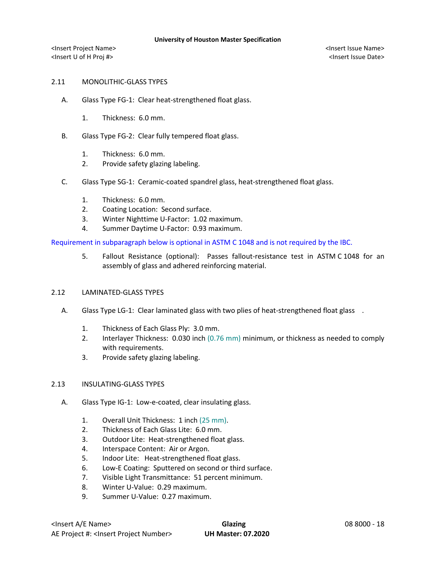## 2.11 MONOLITHIC-GLASS TYPES

- A. Glass Type FG-1: Clear heat-strengthened float glass.
	- 1. Thickness: 6.0 mm.
- B. Glass Type FG-2: Clear fully tempered float glass.
	- 1. Thickness: 6.0 mm.
	- 2. Provide safety glazing labeling.
- C. Glass Type SG-1: Ceramic-coated spandrel glass, heat-strengthened float glass.
	- 1. Thickness: 6.0 mm.
	- 2. Coating Location: Second surface.
	- 3. Winter Nighttime U-Factor: 1.02 maximum.
	- 4. Summer Daytime U-Factor: 0.93 maximum.

Requirement in subparagraph below is optional in ASTM C 1048 and is not required by the IBC.

5. Fallout Resistance (optional): Passes fallout-resistance test in ASTM C 1048 for an assembly of glass and adhered reinforcing material.

### 2.12 LAMINATED-GLASS TYPES

- A. Glass Type LG-1: Clear laminated glass with two plies of heat-strengthened float glass .
	- 1. Thickness of Each Glass Ply: 3.0 mm.
	- 2. Interlayer Thickness: 0.030 inch (0.76 mm) minimum, or thickness as needed to comply with requirements.
	- 3. Provide safety glazing labeling.

## 2.13 INSULATING-GLASS TYPES

- A. Glass Type IG-1: Low-e-coated, clear insulating glass.
	- 1. Overall Unit Thickness: 1 inch (25 mm).
	- 2. Thickness of Each Glass Lite: 6.0 mm.
	- 3. Outdoor Lite: Heat-strengthened float glass.
	- 4. Interspace Content: Air or Argon.
	- 5. Indoor Lite: Heat-strengthened float glass.
	- 6. Low-E Coating: Sputtered on second or third surface.
	- 7. Visible Light Transmittance: 51 percent minimum.
	- 8. Winter U-Value: 0.29 maximum.
	- 9. Summer U-Value: 0.27 maximum.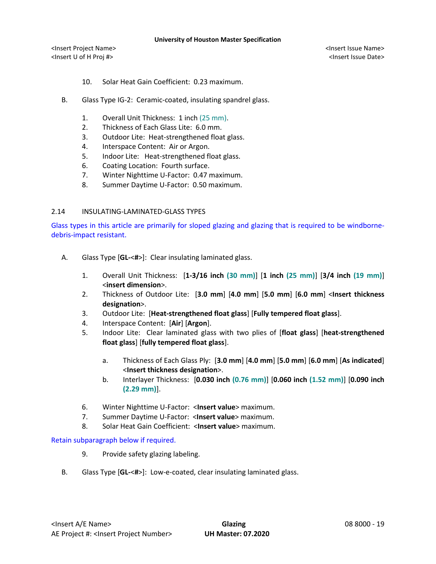<Insert Project Name> <Insert Issue Name> <Insert U of H Proj #> <Insert Issue Date>

- 10. Solar Heat Gain Coefficient: 0.23 maximum.
- B. Glass Type IG-2: Ceramic-coated, insulating spandrel glass.
	- 1. Overall Unit Thickness: 1 inch (25 mm).
	- 2. Thickness of Each Glass Lite: 6.0 mm.
	- 3. Outdoor Lite: Heat-strengthened float glass.
	- 4. Interspace Content: Air or Argon.
	- 5. Indoor Lite: Heat-strengthened float glass.
	- 6. Coating Location: Fourth surface.
	- 7. Winter Nighttime U-Factor: 0.47 maximum.
	- 8. Summer Daytime U-Factor: 0.50 maximum.

# 2.14 INSULATING-LAMINATED-GLASS TYPES

Glass types in this article are primarily for sloped glazing and glazing that is required to be windbornedebris-impact resistant.

- A. Glass Type [**GL-**<**#**>]: Clear insulating laminated glass.
	- 1. Overall Unit Thickness: [**1-3/16 inch (30 mm)**] [**1 inch (25 mm)**] [**3/4 inch (19 mm)**] <**insert dimension**>.
	- 2. Thickness of Outdoor Lite: [**3.0 mm**] [**4.0 mm**] [**5.0 mm**] [**6.0 mm**] <**Insert thickness designation**>.
	- 3. Outdoor Lite: [**Heat-strengthened float glass**] [**Fully tempered float glass**].
	- 4. Interspace Content: [**Air**] [**Argon**].
	- 5. Indoor Lite: Clear laminated glass with two plies of [**float glass**] [**heat-strengthened float glass**] [**fully tempered float glass**].
		- a. Thickness of Each Glass Ply: [**3.0 mm**] [**4.0 mm**] [**5.0 mm**] [**6.0 mm**] [**As indicated**] <**Insert thickness designation**>.
		- b. Interlayer Thickness: [**0.030 inch (0.76 mm)**] [**0.060 inch (1.52 mm)**] [**0.090 inch (2.29 mm)**].
	- 6. Winter Nighttime U-Factor: <**Insert value**> maximum.
	- 7. Summer Daytime U-Factor: <**Insert value**> maximum.
	- 8. Solar Heat Gain Coefficient: <**Insert value**> maximum.

# Retain subparagraph below if required.

- 9. Provide safety glazing labeling.
- B. Glass Type [**GL-**<**#**>]: Low-e-coated, clear insulating laminated glass.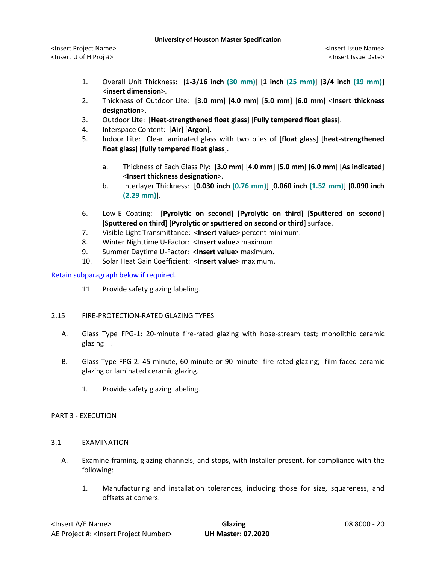- 1. Overall Unit Thickness: [**1-3/16 inch (30 mm)**] [**1 inch (25 mm)**] [**3/4 inch (19 mm)**] <**insert dimension**>.
- 2. Thickness of Outdoor Lite: [**3.0 mm**] [**4.0 mm**] [**5.0 mm**] [**6.0 mm**] <**Insert thickness designation**>.
- 3. Outdoor Lite: [**Heat-strengthened float glass**] [**Fully tempered float glass**].
- 4. Interspace Content: [**Air**] [**Argon**].
- 5. Indoor Lite: Clear laminated glass with two plies of [**float glass**] [**heat-strengthened float glass**] [**fully tempered float glass**].
	- a. Thickness of Each Glass Ply: [**3.0 mm**] [**4.0 mm**] [**5.0 mm**] [**6.0 mm**] [**As indicated**] <**Insert thickness designation**>.
	- b. Interlayer Thickness: [**0.030 inch (0.76 mm)**] [**0.060 inch (1.52 mm)**] [**0.090 inch (2.29 mm)**].
- 6. Low-E Coating: [**Pyrolytic on second**] [**Pyrolytic on third**] [**Sputtered on second**] [**Sputtered on third**] [**Pyrolytic or sputtered on second or third**] surface.
- 7. Visible Light Transmittance: <**Insert value**> percent minimum.
- 8. Winter Nighttime U-Factor: <**Insert value**> maximum.
- 9. Summer Daytime U-Factor: <**Insert value**> maximum.
- 10. Solar Heat Gain Coefficient: <**Insert value**> maximum.

# Retain subparagraph below if required.

11. Provide safety glazing labeling.

# 2.15 FIRE-PROTECTION-RATED GLAZING TYPES

- A. Glass Type FPG-1: 20-minute fire-rated glazing with hose-stream test; monolithic ceramic glazing .
- B. Glass Type FPG-2: 45-minute, 60-minute or 90-minute fire-rated glazing; film-faced ceramic glazing or laminated ceramic glazing.
	- 1. Provide safety glazing labeling.

# PART 3 - EXECUTION

# 3.1 EXAMINATION

- A. Examine framing, glazing channels, and stops, with Installer present, for compliance with the following:
	- 1. Manufacturing and installation tolerances, including those for size, squareness, and offsets at corners.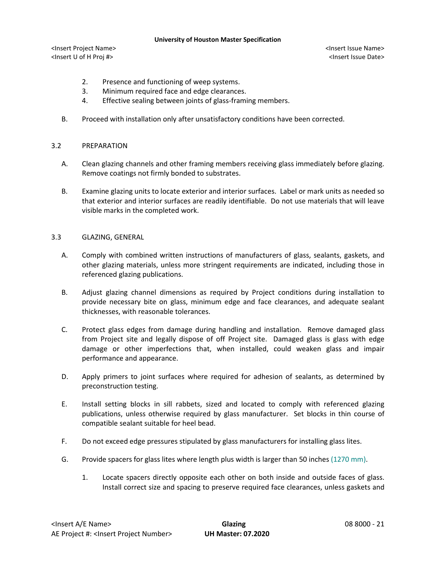<Insert Project Name> <Insert Issue Name> <Insert U of H Proj #> <Insert Issue Date>

- 2. Presence and functioning of weep systems.
- 3. Minimum required face and edge clearances.
- 4. Effective sealing between joints of glass-framing members.
- B. Proceed with installation only after unsatisfactory conditions have been corrected.

## 3.2 PREPARATION

- A. Clean glazing channels and other framing members receiving glass immediately before glazing. Remove coatings not firmly bonded to substrates.
- B. Examine glazing units to locate exterior and interior surfaces. Label or mark units as needed so that exterior and interior surfaces are readily identifiable. Do not use materials that will leave visible marks in the completed work.

## 3.3 GLAZING, GENERAL

- A. Comply with combined written instructions of manufacturers of glass, sealants, gaskets, and other glazing materials, unless more stringent requirements are indicated, including those in referenced glazing publications.
- B. Adjust glazing channel dimensions as required by Project conditions during installation to provide necessary bite on glass, minimum edge and face clearances, and adequate sealant thicknesses, with reasonable tolerances.
- C. Protect glass edges from damage during handling and installation. Remove damaged glass from Project site and legally dispose of off Project site. Damaged glass is glass with edge damage or other imperfections that, when installed, could weaken glass and impair performance and appearance.
- D. Apply primers to joint surfaces where required for adhesion of sealants, as determined by preconstruction testing.
- E. Install setting blocks in sill rabbets, sized and located to comply with referenced glazing publications, unless otherwise required by glass manufacturer. Set blocks in thin course of compatible sealant suitable for heel bead.
- F. Do not exceed edge pressures stipulated by glass manufacturers for installing glass lites.
- G. Provide spacers for glass lites where length plus width is larger than 50 inches (1270 mm).
	- 1. Locate spacers directly opposite each other on both inside and outside faces of glass. Install correct size and spacing to preserve required face clearances, unless gaskets and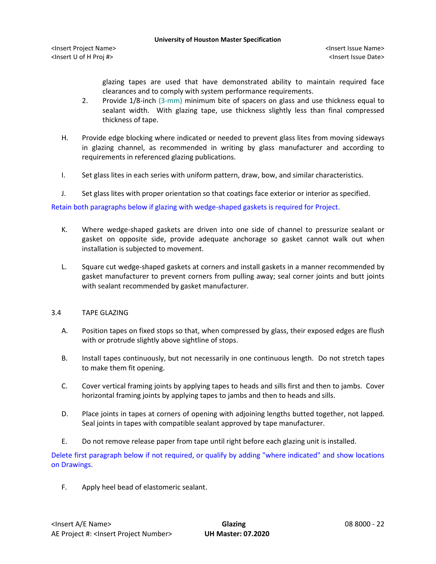<Insert Project Name> <Insert Issue Name> <Insert U of H Proj #> <Insert Issue Date>

glazing tapes are used that have demonstrated ability to maintain required face clearances and to comply with system performance requirements.

- 2. Provide 1/8-inch (3-mm) minimum bite of spacers on glass and use thickness equal to sealant width. With glazing tape, use thickness slightly less than final compressed thickness of tape.
- H. Provide edge blocking where indicated or needed to prevent glass lites from moving sideways in glazing channel, as recommended in writing by glass manufacturer and according to requirements in referenced glazing publications.
- I. Set glass lites in each series with uniform pattern, draw, bow, and similar characteristics.
- J. Set glass lites with proper orientation so that coatings face exterior or interior as specified.

Retain both paragraphs below if glazing with wedge-shaped gaskets is required for Project.

- K. Where wedge-shaped gaskets are driven into one side of channel to pressurize sealant or gasket on opposite side, provide adequate anchorage so gasket cannot walk out when installation is subjected to movement.
- L. Square cut wedge-shaped gaskets at corners and install gaskets in a manner recommended by gasket manufacturer to prevent corners from pulling away; seal corner joints and butt joints with sealant recommended by gasket manufacturer.

# 3.4 TAPE GLAZING

- A. Position tapes on fixed stops so that, when compressed by glass, their exposed edges are flush with or protrude slightly above sightline of stops.
- B. Install tapes continuously, but not necessarily in one continuous length. Do not stretch tapes to make them fit opening.
- C. Cover vertical framing joints by applying tapes to heads and sills first and then to jambs. Cover horizontal framing joints by applying tapes to jambs and then to heads and sills.
- D. Place joints in tapes at corners of opening with adjoining lengths butted together, not lapped. Seal joints in tapes with compatible sealant approved by tape manufacturer.
- E. Do not remove release paper from tape until right before each glazing unit is installed.

Delete first paragraph below if not required, or qualify by adding "where indicated" and show locations on Drawings.

F. Apply heel bead of elastomeric sealant.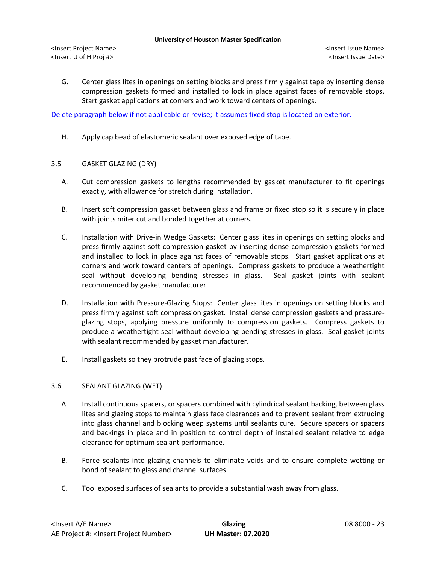<Insert Project Name> <Insert Issue Name> <Insert U of H Proj #> <Insert Issue Date>

G. Center glass lites in openings on setting blocks and press firmly against tape by inserting dense compression gaskets formed and installed to lock in place against faces of removable stops. Start gasket applications at corners and work toward centers of openings.

Delete paragraph below if not applicable or revise; it assumes fixed stop is located on exterior.

H. Apply cap bead of elastomeric sealant over exposed edge of tape.

### 3.5 GASKET GLAZING (DRY)

- A. Cut compression gaskets to lengths recommended by gasket manufacturer to fit openings exactly, with allowance for stretch during installation.
- B. Insert soft compression gasket between glass and frame or fixed stop so it is securely in place with joints miter cut and bonded together at corners.
- C. Installation with Drive-in Wedge Gaskets: Center glass lites in openings on setting blocks and press firmly against soft compression gasket by inserting dense compression gaskets formed and installed to lock in place against faces of removable stops. Start gasket applications at corners and work toward centers of openings. Compress gaskets to produce a weathertight seal without developing bending stresses in glass. Seal gasket joints with sealant recommended by gasket manufacturer.
- D. Installation with Pressure-Glazing Stops: Center glass lites in openings on setting blocks and press firmly against soft compression gasket. Install dense compression gaskets and pressureglazing stops, applying pressure uniformly to compression gaskets. Compress gaskets to produce a weathertight seal without developing bending stresses in glass. Seal gasket joints with sealant recommended by gasket manufacturer.
- E. Install gaskets so they protrude past face of glazing stops.

### 3.6 SEALANT GLAZING (WET)

- A. Install continuous spacers, or spacers combined with cylindrical sealant backing, between glass lites and glazing stops to maintain glass face clearances and to prevent sealant from extruding into glass channel and blocking weep systems until sealants cure. Secure spacers or spacers and backings in place and in position to control depth of installed sealant relative to edge clearance for optimum sealant performance.
- B. Force sealants into glazing channels to eliminate voids and to ensure complete wetting or bond of sealant to glass and channel surfaces.
- C. Tool exposed surfaces of sealants to provide a substantial wash away from glass.